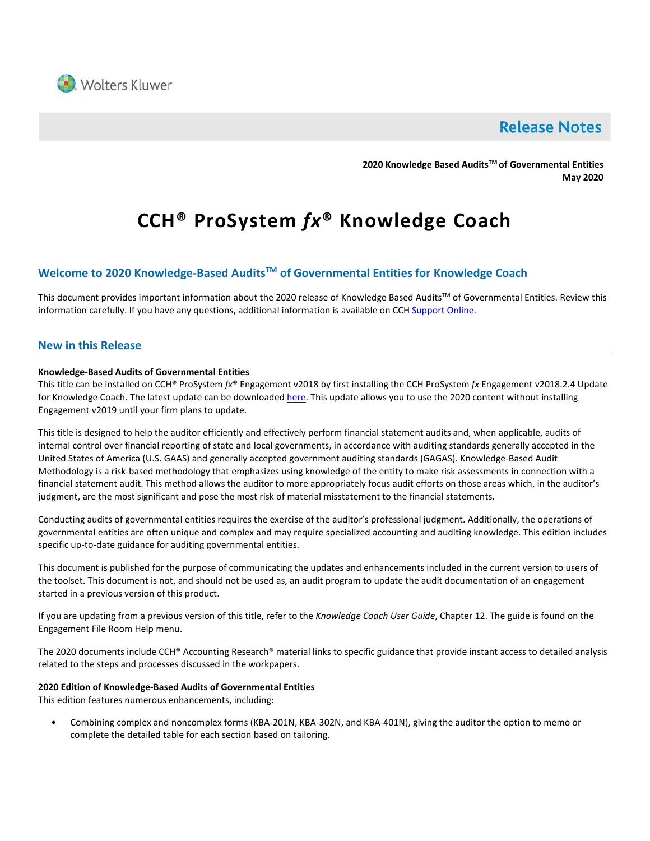

## **Release Notes**

**2020 Knowledge Based AuditsTM of Governmental Entities May 2020**

# **CCH® ProSystem** *fx***® Knowledge Coach**

#### **Welcome to 2020 Knowledge-Based AuditsTM of Governmental Entities for Knowledge Coach**

This document provides important information about the 2020 release of Knowledge Based Audits™ of Governmental Entities. Review this information carefully. If you have any questions, additional information is available on CC[H Support Online.](http://support.cch.com/productsupport/)

#### **New in this Release**

#### **Knowledge-Based Audits of Governmental Entities**

This title can be installed on CCH® ProSystem *fx*® Engagement v2018 by first installing the CCH ProSystem *fx* Engagement v2018.2.4 Update for Knowledge Coach. The latest update can be downloade[d here.](https://support.cch.com/updates/Engagement/release2018/release2018.aspx) This update allows you to use the 2020 content without installing Engagement v2019 until your firm plans to update.

This title is designed to help the auditor efficiently and effectively perform financial statement audits and, when applicable, audits of internal control over financial reporting of state and local governments, in accordance with auditing standards generally accepted in the United States of America (U.S. GAAS) and generally accepted government auditing standards (GAGAS). Knowledge-Based Audit Methodology is a risk-based methodology that emphasizes using knowledge of the entity to make risk assessments in connection with a financial statement audit. This method allows the auditor to more appropriately focus audit efforts on those areas which, in the auditor's judgment, are the most significant and pose the most risk of material misstatement to the financial statements.

Conducting audits of governmental entities requires the exercise of the auditor's professional judgment. Additionally, the operations of governmental entities are often unique and complex and may require specialized accounting and auditing knowledge. This edition includes specific up-to-date guidance for auditing governmental entities.

This document is published for the purpose of communicating the updates and enhancements included in the current version to users of the toolset. This document is not, and should not be used as, an audit program to update the audit documentation of an engagement started in a previous version of this product.

If you are updating from a previous version of this title, refer to the *Knowledge Coach User Guide*, Chapter 12. The guide is found on the Engagement File Room Help menu.

The 2020 documents include CCH® Accounting Research® material links to specific guidance that provide instant access to detailed analysis related to the steps and processes discussed in the workpapers.

#### **2020 Edition of Knowledge-Based Audits of Governmental Entities**

This edition features numerous enhancements, including:

• Combining complex and noncomplex forms (KBA-201N, KBA-302N, and KBA-401N), giving the auditor the option to memo or complete the detailed table for each section based on tailoring.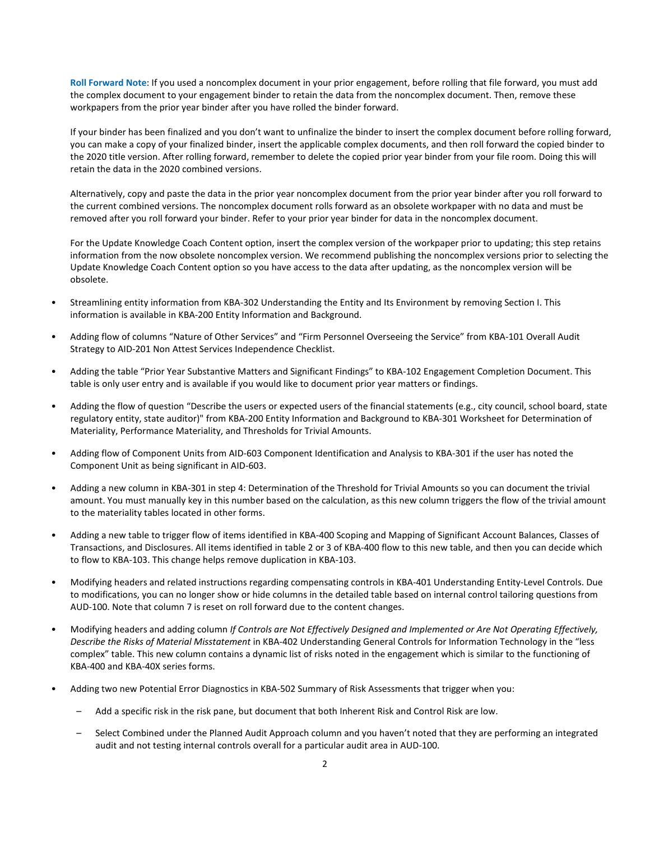**Roll Forward Note**: If you used a noncomplex document in your prior engagement, before rolling that file forward, you must add the complex document to your engagement binder to retain the data from the noncomplex document. Then, remove these workpapers from the prior year binder after you have rolled the binder forward.

If your binder has been finalized and you don't want to unfinalize the binder to insert the complex document before rolling forward, you can make a copy of your finalized binder, insert the applicable complex documents, and then roll forward the copied binder to the 2020 title version. After rolling forward, remember to delete the copied prior year binder from your file room. Doing this will retain the data in the 2020 combined versions.

Alternatively, copy and paste the data in the prior year noncomplex document from the prior year binder after you roll forward to the current combined versions. The noncomplex document rolls forward as an obsolete workpaper with no data and must be removed after you roll forward your binder. Refer to your prior year binder for data in the noncomplex document.

For the Update Knowledge Coach Content option, insert the complex version of the workpaper prior to updating; this step retains information from the now obsolete noncomplex version. We recommend publishing the noncomplex versions prior to selecting the Update Knowledge Coach Content option so you have access to the data after updating, as the noncomplex version will be obsolete.

- Streamlining entity information from KBA-302 Understanding the Entity and Its Environment by removing Section I. This information is available in KBA-200 Entity Information and Background.
- Adding flow of columns "Nature of Other Services" and "Firm Personnel Overseeing the Service" from KBA-101 Overall Audit Strategy to AID-201 Non Attest Services Independence Checklist.
- Adding the table "Prior Year Substantive Matters and Significant Findings" to KBA-102 Engagement Completion Document. This table is only user entry and is available if you would like to document prior year matters or findings.
- Adding the flow of question "Describe the users or expected users of the financial statements (e.g., city council, school board, state regulatory entity, state auditor)" from KBA-200 Entity Information and Background to KBA-301 Worksheet for Determination of Materiality, Performance Materiality, and Thresholds for Trivial Amounts.
- Adding flow of Component Units from AID-603 Component Identification and Analysis to KBA-301 if the user has noted the Component Unit as being significant in AID-603.
- Adding a new column in KBA-301 in step 4: Determination of the Threshold for Trivial Amounts so you can document the trivial amount. You must manually key in this number based on the calculation, as this new column triggers the flow of the trivial amount to the materiality tables located in other forms.
- Adding a new table to trigger flow of items identified in KBA-400 Scoping and Mapping of Significant Account Balances, Classes of Transactions, and Disclosures. All items identified in table 2 or 3 of KBA-400 flow to this new table, and then you can decide which to flow to KBA-103. This change helps remove duplication in KBA-103.
- Modifying headers and related instructions regarding compensating controls in KBA-401 Understanding Entity-Level Controls. Due to modifications, you can no longer show or hide columns in the detailed table based on internal control tailoring questions from AUD-100. Note that column 7 is reset on roll forward due to the content changes.
- Modifying headers and adding column *If Controls are Not Effectively Designed and Implemented or Are Not Operating Effectively, Describe the Risks of Material Misstatement* in KBA-402 Understanding General Controls for Information Technology in the "less complex" table. This new column contains a dynamic list of risks noted in the engagement which is similar to the functioning of KBA-400 and KBA-40X series forms.
- Adding two new Potential Error Diagnostics in KBA-502 Summary of Risk Assessments that trigger when you:
	- Add a specific risk in the risk pane, but document that both Inherent Risk and Control Risk are low.
	- Select Combined under the Planned Audit Approach column and you haven't noted that they are performing an integrated audit and not testing internal controls overall for a particular audit area in AUD-100.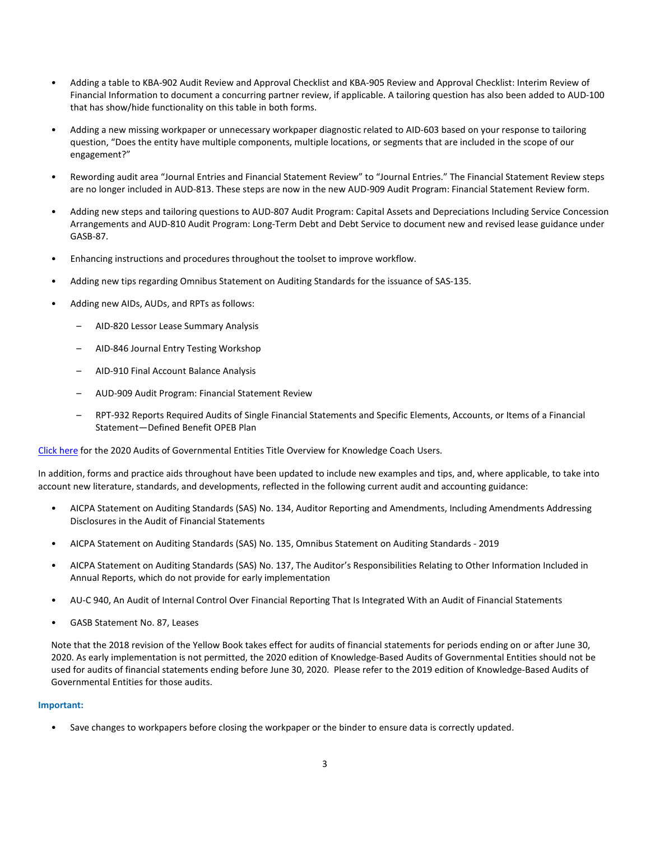- Adding a table to KBA-902 Audit Review and Approval Checklist and KBA-905 Review and Approval Checklist: Interim Review of Financial Information to document a concurring partner review, if applicable. A tailoring question has also been added to AUD-100 that has show/hide functionality on this table in both forms.
- Adding a new missing workpaper or unnecessary workpaper diagnostic related to AID-603 based on your response to tailoring question, "Does the entity have multiple components, multiple locations, or segments that are included in the scope of our engagement?"
- Rewording audit area "Journal Entries and Financial Statement Review" to "Journal Entries." The Financial Statement Review steps are no longer included in AUD-813. These steps are now in the new AUD-909 Audit Program: Financial Statement Review form.
- Adding new steps and tailoring questions to AUD-807 Audit Program: Capital Assets and Depreciations Including Service Concession Arrangements and AUD-810 Audit Program: Long-Term Debt and Debt Service to document new and revised lease guidance under GASB-87.
- Enhancing instructions and procedures throughout the toolset to improve workflow.
- Adding new tips regarding Omnibus Statement on Auditing Standards for the issuance of SAS-135.
- Adding new AIDs, AUDs, and RPTs as follows:
	- AID-820 Lessor Lease Summary Analysis
	- AID-846 Journal Entry Testing Workshop
	- AID-910 Final Account Balance Analysis
	- AUD-909 Audit Program: Financial Statement Review
	- RPT-932 Reports Required Audits of Single Financial Statements and Specific Elements, Accounts, or Items of a Financial Statement—Defined Benefit OPEB Plan

[Click here](http://support.cch.com/updates/KnowledgeCoach/pdf/guides_tab/2020%20Governmental%20Entities%20Title%20Overview%20for%20Knowledge%20Coach%20Users.pdf) for the 2020 Audits of Governmental Entities Title Overview for Knowledge Coach Users.

In addition, forms and practice aids throughout have been updated to include new examples and tips, and, where applicable, to take into account new literature, standards, and developments, reflected in the following current audit and accounting guidance:

- AICPA Statement on Auditing Standards (SAS) No. 134, Auditor Reporting and Amendments, Including Amendments Addressing Disclosures in the Audit of Financial Statements
- AICPA Statement on Auditing Standards (SAS) No. 135, Omnibus Statement on Auditing Standards 2019
- AICPA Statement on Auditing Standards (SAS) No. 137, The Auditor's Responsibilities Relating to Other Information Included in Annual Reports, which do not provide for early implementation
- AU-C 940, An Audit of Internal Control Over Financial Reporting That Is Integrated With an Audit of Financial Statements
- GASB Statement No. 87, Leases

Note that the 2018 revision of the Yellow Book takes effect for audits of financial statements for periods ending on or after June 30, 2020. As early implementation is not permitted, the 2020 edition of Knowledge-Based Audits of Governmental Entities should not be used for audits of financial statements ending before June 30, 2020. Please refer to the 2019 edition of Knowledge-Based Audits of Governmental Entities for those audits.

#### **Important:**

• Save changes to workpapers before closing the workpaper or the binder to ensure data is correctly updated.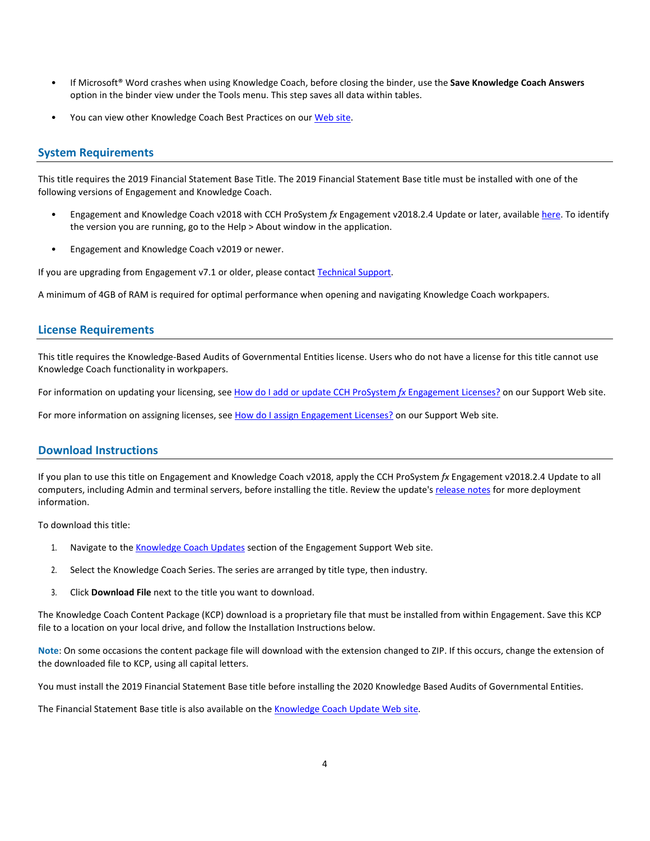- If Microsoft® Word crashes when using Knowledge Coach, before closing the binder, use the **Save Knowledge Coach Answers** option in the binder view under the Tools menu. This step saves all data within tables.
- You can view other Knowledge Coach Best Practices on ou[r Web](https://support.cch.com/kb/solution/000034942/sw34947) site.

#### **System Requirements**

This title requires the 2019 Financial Statement Base Title. The 2019 Financial Statement Base title must be installed with one of the following versions of Engagement and Knowledge Coach.

- Engagement and Knowledge Coach v2018 with CCH ProSystem *fx* Engagement v2018.2.4 Update or later, available [here.](https://support.cch.com/updates/Engagement/release2018/release2018.aspx) To identify the version you are running, go to the Help > About window in the application.
- Engagement and Knowledge Coach v2019 or newer.

If you are upgrading from Engagement v7.1 or older, please contact [Technical Support.](https://support.cch.com/contact)

A minimum of 4GB of RAM is required for optimal performance when opening and navigating Knowledge Coach workpapers.

#### **License Requirements**

This title requires the Knowledge-Based Audits of Governmental Entities license. Users who do not have a license for this title cannot use Knowledge Coach functionality in workpapers.

For information on updating your licensing, see [How do I add or update CCH ProSystem](https://support.cch.com/kb/solution.aspx/sw3937) *fx* Engagement Licenses? on our Support Web site.

For more information on assigning licenses, see [How do I assign Engagement Licenses?](https://support.cch.com/kb/solution.aspx/sw3943) on our Support Web site.

#### **Download Instructions**

If you plan to use this title on Engagement and Knowledge Coach v2018, apply the CCH ProSystem *fx* Engagement v2018.2.4 Update to all computers, including Admin and terminal servers, before installing the title. Review the update's [release notes](https://d2iceilwdglxpz.cloudfront.net/release_notes/CCH%20ProSystem%20fx%20Engagement%202018.2.4%20Release%20Notes.pdf) for more deployment information.

To download this title:

- 1. Navigate to the [Knowledge Coach Updates](http://support.cch.com/updates/KnowledgeCoach) section of the Engagement Support Web site.
- 2. Select the Knowledge Coach Series. The series are arranged by title type, then industry.
- 3. Click **Download File** next to the title you want to download.

The Knowledge Coach Content Package (KCP) download is a proprietary file that must be installed from within Engagement. Save this KCP file to a location on your local drive, and follow the Installation Instructions below.

**Note**: On some occasions the content package file will download with the extension changed to ZIP. If this occurs, change the extension of the downloaded file to KCP, using all capital letters.

You must install the 2019 Financial Statement Base title before installing the 2020 Knowledge Based Audits of Governmental Entities.

The Financial Statement Base title is also available on th[e Knowledge Coach Update Web](http://support.cch.com/updates/KnowledgeCoach) site.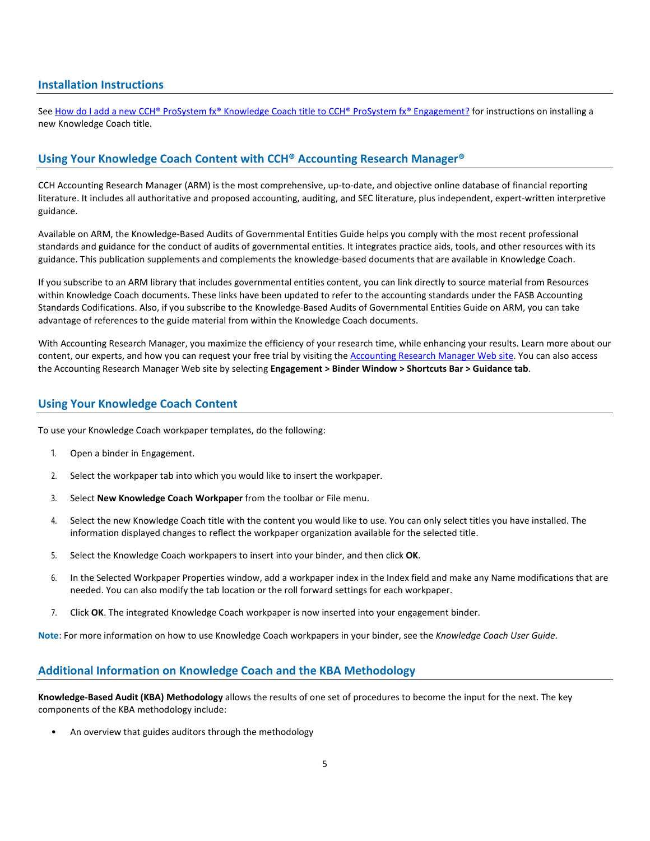#### **Installation Instructions**

See [How do I add a new CCH® ProSystem fx® Knowledge Coach title to CCH® ProSystem fx® Engagement?](https://support.cch.com/kb/solution/000033707/sw30271) for instructions on installing a new Knowledge Coach title.

### **Using Your Knowledge Coach Content with CCH® Accounting Research Manager®**

CCH Accounting Research Manager (ARM) is the most comprehensive, up-to-date, and objective online database of financial reporting literature. It includes all authoritative and proposed accounting, auditing, and SEC literature, plus independent, expert-written interpretive guidance.

Available on ARM, the Knowledge-Based Audits of Governmental Entities Guide helps you comply with the most recent professional standards and guidance for the conduct of audits of governmental entities. It integrates practice aids, tools, and other resources with its guidance. This publication supplements and complements the knowledge-based documents that are available in Knowledge Coach.

If you subscribe to an ARM library that includes governmental entities content, you can link directly to source material from Resources within Knowledge Coach documents. These links have been updated to refer to the accounting standards under the FASB Accounting Standards Codifications. Also, if you subscribe to the Knowledge-Based Audits of Governmental Entities Guide on ARM, you can take advantage of references to the guide material from within the Knowledge Coach documents.

With Accounting Research Manager, you maximize the efficiency of your research time, while enhancing your results. Learn more about our content, our experts, and how you can request your free trial by visiting the [Accounting Research Manager Web](http://www.accountingresearchmanager.com/) site. You can also access the Accounting Research Manager Web site by selecting **Engagement > Binder Window > Shortcuts Bar > Guidance tab**.

#### **Using Your Knowledge Coach Content**

To use your Knowledge Coach workpaper templates, do the following:

- 1. Open a binder in Engagement.
- 2. Select the workpaper tab into which you would like to insert the workpaper.
- 3. Select **New Knowledge Coach Workpaper** from the toolbar or File menu.
- 4. Select the new Knowledge Coach title with the content you would like to use. You can only select titles you have installed. The information displayed changes to reflect the workpaper organization available for the selected title.
- 5. Select the Knowledge Coach workpapers to insert into your binder, and then click **OK**.
- 6. In the Selected Workpaper Properties window, add a workpaper index in the Index field and make any Name modifications that are needed. You can also modify the tab location or the roll forward settings for each workpaper.
- 7. Click **OK**. The integrated Knowledge Coach workpaper is now inserted into your engagement binder.

**Note**: For more information on how to use Knowledge Coach workpapers in your binder, see the *Knowledge Coach User Guide*.

#### **Additional Information on Knowledge Coach and the KBA Methodology**

**Knowledge-Based Audit (KBA) Methodology** allows the results of one set of procedures to become the input for the next. The key components of the KBA methodology include:

• An overview that guides auditors through the methodology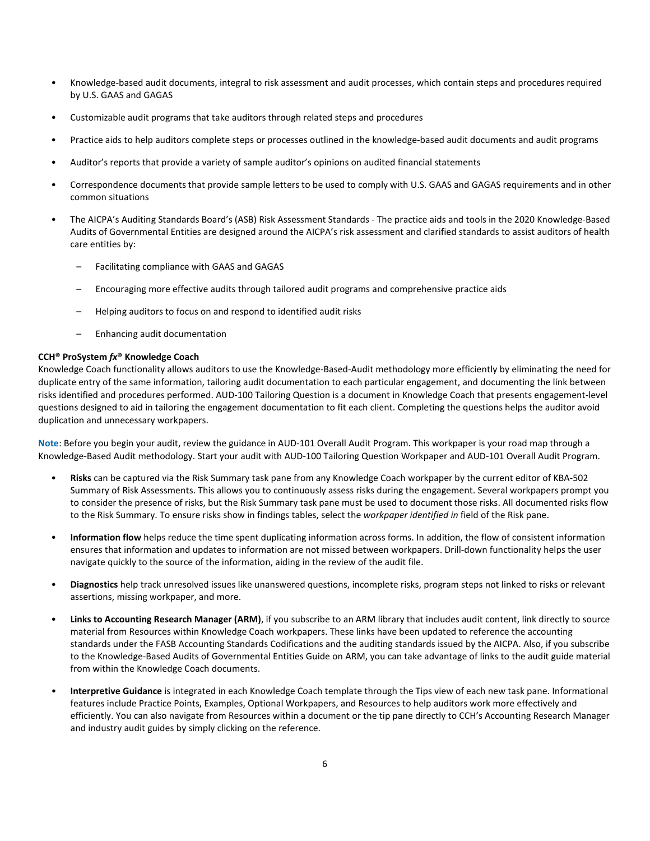- Knowledge-based audit documents, integral to risk assessment and audit processes, which contain steps and procedures required by U.S. GAAS and GAGAS
- Customizable audit programs that take auditors through related steps and procedures
- Practice aids to help auditors complete steps or processes outlined in the knowledge-based audit documents and audit programs
- Auditor's reports that provide a variety of sample auditor's opinions on audited financial statements
- Correspondence documents that provide sample letters to be used to comply with U.S. GAAS and GAGAS requirements and in other common situations
- The AICPA's Auditing Standards Board's (ASB) Risk Assessment Standards The practice aids and tools in the 2020 Knowledge-Based Audits of Governmental Entities are designed around the AICPA's risk assessment and clarified standards to assist auditors of health care entities by:
	- Facilitating compliance with GAAS and GAGAS
	- Encouraging more effective audits through tailored audit programs and comprehensive practice aids
	- Helping auditors to focus on and respond to identified audit risks
	- Enhancing audit documentation

#### **CCH® ProSystem** *fx***® Knowledge Coach**

Knowledge Coach functionality allows auditors to use the Knowledge-Based-Audit methodology more efficiently by eliminating the need for duplicate entry of the same information, tailoring audit documentation to each particular engagement, and documenting the link between risks identified and procedures performed. AUD-100 Tailoring Question is a document in Knowledge Coach that presents engagement-level questions designed to aid in tailoring the engagement documentation to fit each client. Completing the questions helps the auditor avoid duplication and unnecessary workpapers.

**Note**: Before you begin your audit, review the guidance in AUD-101 Overall Audit Program. This workpaper is your road map through a Knowledge-Based Audit methodology. Start your audit with AUD-100 Tailoring Question Workpaper and AUD-101 Overall Audit Program.

- **Risks** can be captured via the Risk Summary task pane from any Knowledge Coach workpaper by the current editor of KBA-502 Summary of Risk Assessments. This allows you to continuously assess risks during the engagement. Several workpapers prompt you to consider the presence of risks, but the Risk Summary task pane must be used to document those risks. All documented risks flow to the Risk Summary. To ensure risks show in findings tables, select the *workpaper identified in* field of the Risk pane.
- **Information flow** helps reduce the time spent duplicating information across forms. In addition, the flow of consistent information ensures that information and updates to information are not missed between workpapers. Drill-down functionality helps the user navigate quickly to the source of the information, aiding in the review of the audit file.
- **Diagnostics** help track unresolved issues like unanswered questions, incomplete risks, program steps not linked to risks or relevant assertions, missing workpaper, and more.
- Links to Accounting Research Manager (ARM), if you subscribe to an ARM library that includes audit content, link directly to source material from Resources within Knowledge Coach workpapers. These links have been updated to reference the accounting standards under the FASB Accounting Standards Codifications and the auditing standards issued by the AICPA. Also, if you subscribe to the Knowledge-Based Audits of Governmental Entities Guide on ARM, you can take advantage of links to the audit guide material from within the Knowledge Coach documents.
- **Interpretive Guidance** is integrated in each Knowledge Coach template through the Tips view of each new task pane. Informational features include Practice Points, Examples, Optional Workpapers, and Resources to help auditors work more effectively and efficiently. You can also navigate from Resources within a document or the tip pane directly to CCH's Accounting Research Manager and industry audit guides by simply clicking on the reference.